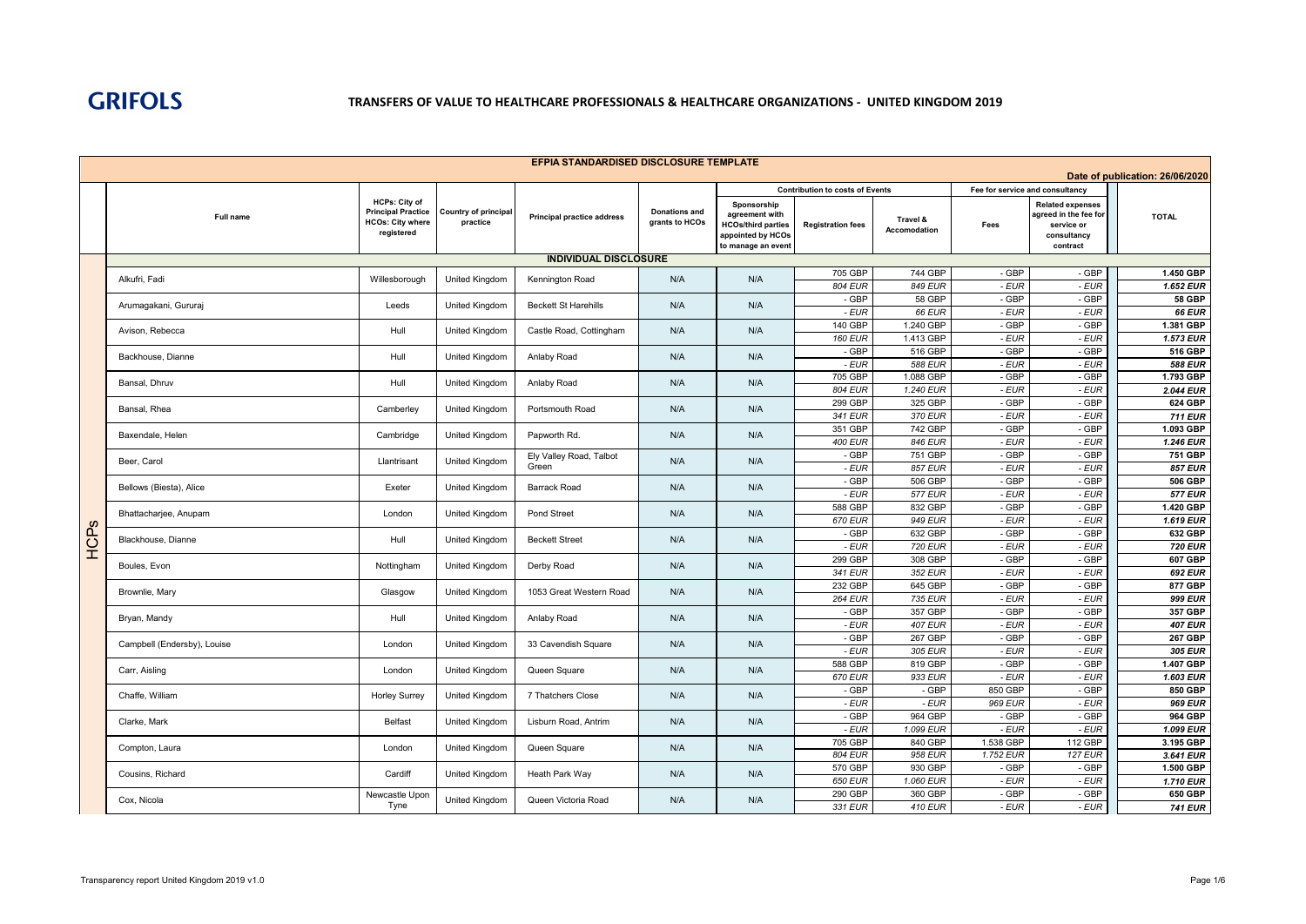

|            |                             |                                                                                            |                                         | EFPIA STANDARDISED DISCLOSURE TEMPLATE |                                        |                                                                                                       |                                        |                          |                                 |                                                                                           |                                 |
|------------|-----------------------------|--------------------------------------------------------------------------------------------|-----------------------------------------|----------------------------------------|----------------------------------------|-------------------------------------------------------------------------------------------------------|----------------------------------------|--------------------------|---------------------------------|-------------------------------------------------------------------------------------------|---------------------------------|
|            |                             |                                                                                            |                                         |                                        |                                        |                                                                                                       |                                        |                          |                                 |                                                                                           | Date of publication: 26/06/2020 |
|            |                             |                                                                                            |                                         |                                        |                                        |                                                                                                       | <b>Contribution to costs of Events</b> |                          | Fee for service and consultancy |                                                                                           |                                 |
|            | Full name                   | <b>HCPs: City of</b><br><b>Principal Practice</b><br><b>HCOs: City where</b><br>registered | <b>Country of principal</b><br>practice | <b>Principal practice address</b>      | <b>Donations and</b><br>grants to HCOs | Sponsorship<br>agreement with<br><b>HCOs/third parties</b><br>appointed by HCOs<br>to manage an event | <b>Registration fees</b>               | Travel &<br>Accomodation | Fees                            | <b>Related expenses</b><br>agreed in the fee for<br>service or<br>consultancy<br>contract | <b>TOTAL</b>                    |
|            |                             |                                                                                            |                                         | <b>INDIVIDUAL DISCLOSURE</b>           |                                        |                                                                                                       |                                        |                          |                                 |                                                                                           |                                 |
|            |                             |                                                                                            |                                         |                                        |                                        |                                                                                                       | 705 GBP                                | 744 GBP                  | - GBP                           | - GBP                                                                                     | 1.450 GBP                       |
|            | Alkufri, Fadi               | Willesborough                                                                              | <b>United Kingdom</b>                   | Kennington Road                        | N/A                                    | N/A                                                                                                   | 804 EUR                                | 849 EUR                  | - EUR                           | $-EUR$                                                                                    | 1.652 EUR                       |
|            | Arumagakani, Gururaj        | Leeds                                                                                      | United Kingdom                          | <b>Beckett St Harehills</b>            | N/A                                    | N/A                                                                                                   | - GBP<br>$-EUR$                        | 58 GBP<br><b>66 EUR</b>  | - GBP<br>- EUR                  | - GBP<br>$-EUR$                                                                           | <b>58 GBP</b><br><b>66 EUR</b>  |
|            |                             |                                                                                            |                                         |                                        |                                        |                                                                                                       | 140 GBP                                | 1.240 GBP                | - GBP                           | - GBP                                                                                     | 1.381 GBP                       |
|            | Avison, Rebecca             | Hull                                                                                       | United Kingdom                          | Castle Road, Cottingham                | N/A                                    | N/A                                                                                                   | <b>160 EUR</b>                         | 1.413 GBP                | - EUR                           | $-EUR$                                                                                    | <b>1.573 EUR</b>                |
|            | Backhouse, Dianne           | Hull                                                                                       | United Kingdom                          | Anlaby Road                            | N/A                                    | N/A                                                                                                   | - GBP                                  | 516 GBP                  | - GBP                           | - GBP                                                                                     | 516 GBP                         |
|            |                             |                                                                                            |                                         |                                        |                                        |                                                                                                       | - EUR                                  | 588 EUR                  | - EUR                           | - EUR                                                                                     | <b>588 EUR</b>                  |
|            |                             |                                                                                            |                                         |                                        |                                        |                                                                                                       | 705 GBP                                | 1.088 GBP                | - GBP                           | - GBP                                                                                     | 1.793 GBP                       |
|            | Bansal, Dhruv               | Hull                                                                                       | United Kingdom                          | Anlaby Road                            | N/A                                    | N/A                                                                                                   | 804 EUR                                | 1.240 EUR                | - EUR                           | $-EUR$                                                                                    | 2.044 EUR                       |
|            |                             |                                                                                            |                                         |                                        |                                        |                                                                                                       | 299 GBP                                | 325 GBP                  | - GBP                           | $-GBP$                                                                                    | $624$ GBP                       |
|            | Bansal, Rhea                | Camberley                                                                                  | United Kingdom                          | Portsmouth Road                        | N/A                                    | N/A                                                                                                   | 341 EUR                                | 370 EUR                  | $-EUR$                          | $-EUR$                                                                                    | <b>711 EUR</b>                  |
|            |                             |                                                                                            |                                         |                                        |                                        |                                                                                                       | 351 GBP                                | 742 GBP                  | - GBP                           | - GBP                                                                                     | 1.093 GBP                       |
|            | Baxendale, Helen            | Cambridge                                                                                  | United Kingdom                          | Papworth Rd.                           | N/A                                    | N/A                                                                                                   | <b>400 EUR</b>                         | 846 EUR                  | $-EUR$                          | $-EUR$                                                                                    | 1.246 EUR                       |
|            |                             |                                                                                            |                                         | Ely Valley Road, Talbot                |                                        |                                                                                                       | - GBP                                  | 751 GBP                  | - GBP                           | - GBP                                                                                     | 751 GBP                         |
|            | Beer, Carol                 | Llantrisant                                                                                | United Kingdom                          | Green                                  | N/A                                    | N/A                                                                                                   | - EUR                                  | 857 EUR                  | - EUR                           | - EUR                                                                                     | 857 EUR                         |
|            |                             |                                                                                            |                                         |                                        |                                        |                                                                                                       | - GBP                                  | 506 GBP                  | - GBP                           | - GBP                                                                                     | 506 GBP                         |
|            | Bellows (Biesta), Alice     | Exeter                                                                                     | United Kingdom                          | <b>Barrack Road</b>                    | N/A                                    | N/A                                                                                                   | - EUR                                  | <b>577 EUR</b>           | $-EUR$                          | $-EUR$                                                                                    | <b>577 EUR</b>                  |
|            |                             |                                                                                            |                                         |                                        |                                        |                                                                                                       | 588 GBP                                | 832 GBP                  | $-GBP$                          | $-GBP$                                                                                    | 1.420 GBP                       |
|            | Bhattacharjee, Anupam       | London                                                                                     | United Kingdom                          | Pond Street                            | N/A                                    | N/A                                                                                                   | 670 EUR                                | 949 EUR                  | - EUR                           | $-EUR$                                                                                    | 1.619 EUR                       |
| ဖ          |                             |                                                                                            |                                         |                                        |                                        |                                                                                                       | $-$ GBP                                | 632 GBP                  | $-GBP$                          | $-$ GBP                                                                                   | <b>632 GBP</b>                  |
| <b>ACP</b> | Blackhouse, Dianne          | Hull                                                                                       | United Kingdom                          | <b>Beckett Street</b>                  | N/A                                    | N/A                                                                                                   | - EUR                                  | 720 EUR                  | - EUR                           | $-EUR$                                                                                    | <b>720 EUR</b>                  |
|            | Boules, Evon                | Nottingham                                                                                 | <b>United Kingdom</b>                   | Derby Road                             | N/A                                    | N/A                                                                                                   | 299 GBP                                | 308 GBP                  | - GBP                           | - GBP                                                                                     | 607 GBP                         |
|            |                             |                                                                                            |                                         |                                        |                                        |                                                                                                       | 341 EUR                                | 352 EUR                  | $-EUR$                          | $-EUR$                                                                                    | 692 EUR                         |
|            | Brownlie, Mary              | Glasgow                                                                                    | <b>United Kingdom</b>                   | 1053 Great Western Road                | N/A                                    | N/A                                                                                                   | 232 GBP                                | 645 GBF                  | - GBP                           | - GBP                                                                                     | 877 GBP                         |
|            |                             |                                                                                            |                                         |                                        |                                        |                                                                                                       | <b>264 EUR</b>                         | 735 EUR                  | - EUR                           | $-EUR$                                                                                    | 999 EUR                         |
|            | Bryan, Mandy                | Hull                                                                                       | <b>United Kingdom</b>                   | Anlaby Road                            | N/A                                    | N/A                                                                                                   | - GBP                                  | 357 GBF                  | - GBP                           | - GBP                                                                                     | 357 GBP                         |
|            |                             |                                                                                            |                                         |                                        |                                        |                                                                                                       | - EUR                                  | <b>407 EUR</b>           | - EUR                           | $-EUR$                                                                                    | <b>407 EUR</b>                  |
|            | Campbell (Endersby), Louise | London                                                                                     | United Kingdom                          | 33 Cavendish Square                    | N/A                                    | N/A                                                                                                   | - GBP                                  | 267 GBF                  | - GBP                           | - GBP                                                                                     | <b>267 GBP</b>                  |
|            |                             |                                                                                            |                                         |                                        |                                        |                                                                                                       | - EUR                                  | 305 EUR                  | - EUR                           | $-EUR$                                                                                    | 305 EUR                         |
|            |                             | London                                                                                     |                                         | Queen Square                           | N/A                                    | N/A                                                                                                   | 588 GBP                                | 819 GBF                  | - GBP                           | - GBP                                                                                     | 1.407 GBP                       |
|            | Carr, Aisling               |                                                                                            | United Kingdom                          |                                        |                                        |                                                                                                       | 670 EUR                                | 933 EUR                  | - EUR                           | $-EUR$                                                                                    | 1.603 EUR                       |
|            | Chaffe, William             | <b>Horley Surrey</b>                                                                       | United Kingdom                          | 7 Thatchers Close                      | N/A                                    | N/A                                                                                                   | - GBP                                  | - GBF                    | 850 GBP                         | - GBP                                                                                     | 850 GBP                         |
|            |                             |                                                                                            |                                         |                                        |                                        |                                                                                                       | - EUR                                  | $-EUR$                   | 969 EUR                         | $-EUR$                                                                                    | 969 EUR                         |
|            | Clarke, Mark                | Belfast                                                                                    | United Kingdom                          | Lisburn Road, Antrim                   | N/A                                    | N/A                                                                                                   | - GBP                                  | 964 GBF                  | - GBP                           | - GBP                                                                                     | 964 GBP                         |
|            |                             |                                                                                            |                                         |                                        |                                        |                                                                                                       | - EUR                                  | 1.099 EUR                | - EUR                           | $-EUR$                                                                                    | 1.099 EUR                       |
|            | Compton, Laura              | London                                                                                     | United Kingdom                          | Queen Square                           | N/A                                    | N/A                                                                                                   | 705 GBP                                | 840 GBF                  | 1.538 GBP                       | 112 GBP                                                                                   | 3.195 GBP                       |
|            |                             |                                                                                            |                                         |                                        |                                        |                                                                                                       | 804 EUR                                | 958 EUR                  | 1.752 EUR                       | <b>127 EUR</b>                                                                            | $3.641$ EUR                     |
|            | Cousins, Richard            | Cardiff                                                                                    | United Kingdom                          | Heath Park Way                         | N/A                                    | N/A                                                                                                   | 570 GBP                                | 930 GBP                  | - GBP                           | - GBP                                                                                     | 1.500 GBP                       |
|            |                             |                                                                                            |                                         |                                        |                                        |                                                                                                       | <b>650 EUR</b>                         | 1.060 EUR                | $-EUR$                          | $-EUR$                                                                                    | 1.710 EUR                       |
|            | Cox, Nicola                 | Newcastle Upon                                                                             | United Kingdom                          | Queen Victoria Road                    | N/A                                    | N/A                                                                                                   | 290 GBP                                | 360 GBP                  | - GBP                           | - GBP                                                                                     | 650 GBP                         |
|            |                             | Tyne                                                                                       |                                         |                                        |                                        |                                                                                                       | 331 EUR                                | 410 EUR                  | - EUR                           | - EUR                                                                                     | <b>741 EUR</b>                  |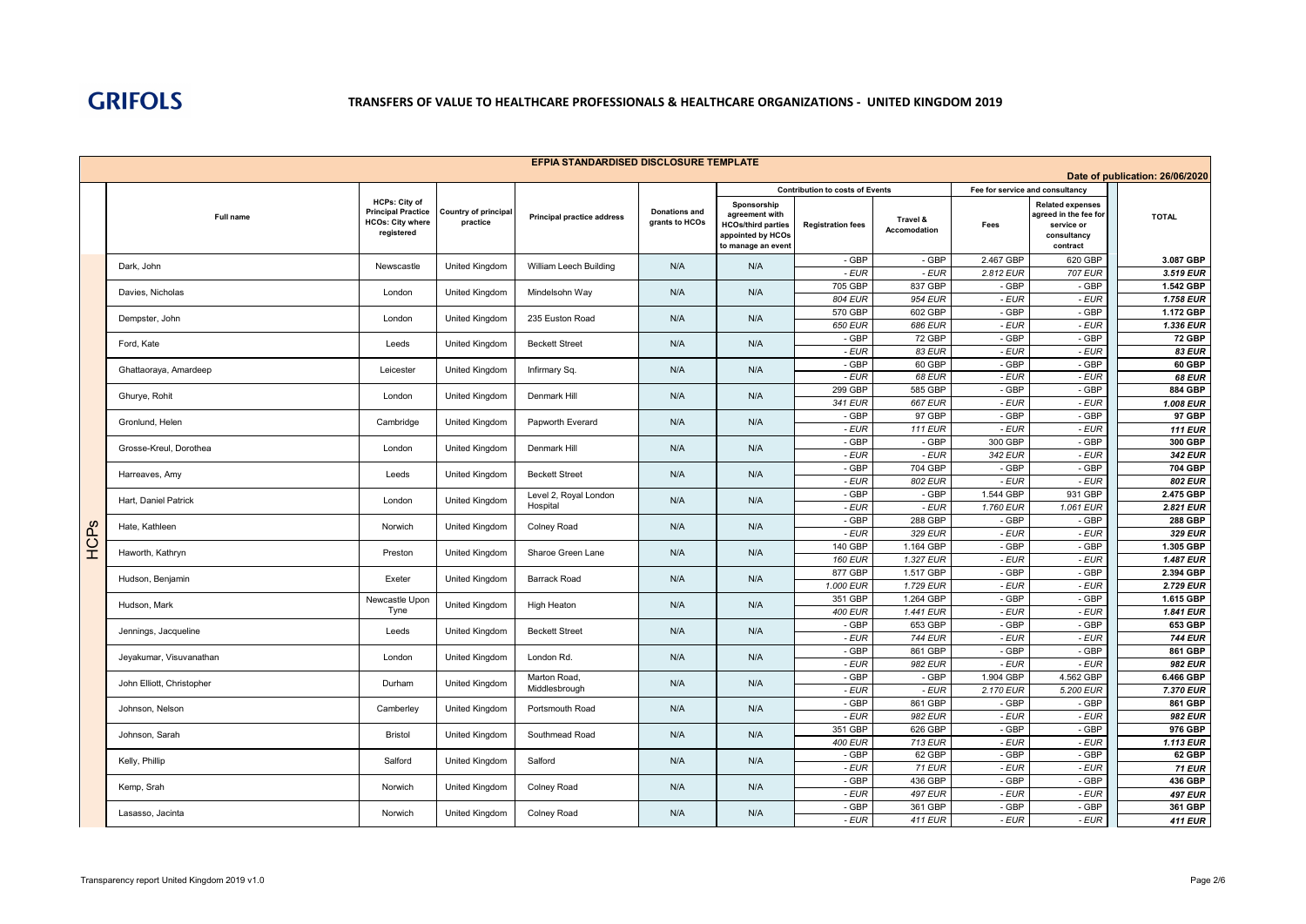

|      |                           |                                                                                            |                                         | EFPIA STANDARDISED DISCLOSURE TEMPLATE |                                        |                                                                                                       |                                                                    |                                 |                                         |                                                                                           |                                 |
|------|---------------------------|--------------------------------------------------------------------------------------------|-----------------------------------------|----------------------------------------|----------------------------------------|-------------------------------------------------------------------------------------------------------|--------------------------------------------------------------------|---------------------------------|-----------------------------------------|-------------------------------------------------------------------------------------------|---------------------------------|
|      |                           |                                                                                            |                                         |                                        |                                        |                                                                                                       |                                                                    |                                 |                                         |                                                                                           | Date of publication: 26/06/2020 |
|      | Full name                 | <b>HCPs: City of</b><br><b>Principal Practice</b><br><b>HCOs: City where</b><br>registered | <b>Country of principal</b><br>practice | <b>Principal practice address</b>      | <b>Donations and</b><br>grants to HCOs | Sponsorship<br>agreement with<br><b>HCOs/third parties</b><br>appointed by HCOs<br>to manage an event | <b>Contribution to costs of Events</b><br><b>Registration fees</b> | Travel &<br><b>Accomodation</b> | Fee for service and consultancy<br>Fees | <b>Related expenses</b><br>agreed in the fee for<br>service or<br>consultancy<br>contract | <b>TOTAL</b>                    |
|      | Dark, John                | Newscastle                                                                                 | United Kingdom                          | William Leech Building                 | N/A                                    | N/A                                                                                                   | - GBP                                                              | - GBP                           | 2.467 GBP                               | 620 GBP                                                                                   | 3.087 GBP                       |
|      |                           |                                                                                            |                                         |                                        |                                        |                                                                                                       | $-EUR$                                                             | $-EUR$                          | 2.812 EUR                               | 707 EUR                                                                                   | 3.519 EUR                       |
|      | Davies, Nicholas          | London                                                                                     | United Kingdom                          | Mindelsohn Way                         | N/A                                    | N/A                                                                                                   | 705 GBP<br>804 EUR                                                 | 837 GBP<br>954 EUR              | - GBP<br>- EUR                          | - GBP                                                                                     | 1.542 GBP<br>1.758 EUR          |
|      |                           |                                                                                            |                                         |                                        |                                        |                                                                                                       | 570 GBP                                                            | 602 GBP                         | - GBP                                   | - EUR<br>$-GBP$                                                                           | 1.172 GBP                       |
|      | Dempster, John            | London                                                                                     | United Kingdom                          | 235 Euston Road                        | N/A                                    | N/A                                                                                                   | <b>650 EUR</b>                                                     | 686 EUR                         | - EUR                                   | $-EUR$                                                                                    | 1.336 EUR                       |
|      | Ford, Kate                | Leeds                                                                                      | United Kingdom                          | <b>Beckett Street</b>                  | N/A                                    | N/A                                                                                                   | - GBP                                                              | 72 GBP                          | - GBP                                   | - GBP                                                                                     | <b>72 GBP</b>                   |
|      |                           |                                                                                            |                                         |                                        |                                        |                                                                                                       | - EUR                                                              | 83 EUR                          | - EUR                                   | $-EUR$                                                                                    | <b>83 EUR</b>                   |
|      | Ghattaoraya, Amardeep     | Leicester                                                                                  | United Kingdom                          | Infirmary Sq.                          | N/A                                    | N/A                                                                                                   | - GBP                                                              | 60 GBP                          | - GBP                                   | - GBP                                                                                     | 60 GBP                          |
|      |                           |                                                                                            |                                         |                                        |                                        |                                                                                                       | - EUR<br>299 GBP                                                   | <b>68 EUR</b><br>585 GBP        | - EUR<br>- GBP                          | $-EUR$<br>- GBP                                                                           | <b>68 EUR</b><br>884 GBP        |
|      | Ghurye, Rohit             | London                                                                                     | United Kingdom                          | Denmark Hill                           | N/A                                    | N/A                                                                                                   | 341 EUR                                                            | <b>667 EUR</b>                  | - EUR                                   | - EUR                                                                                     | 1.008 EUR                       |
|      |                           |                                                                                            |                                         |                                        |                                        |                                                                                                       | - GBP                                                              | 97 GBP                          | - GBP                                   | - GBP                                                                                     | 97 GBP                          |
|      | Gronlund, Helen           | Cambridge                                                                                  | United Kingdom                          | Papworth Everard                       | N/A                                    | N/A                                                                                                   | - EUR                                                              | <b>111 EUR</b>                  | - EUR                                   | $-EUR$                                                                                    | <b>111 EUR</b>                  |
|      | Grosse-Kreul, Dorothea    | London                                                                                     | United Kingdom                          | Denmark Hill                           | N/A                                    | N/A                                                                                                   | $-$ GBP                                                            | - GBP                           | 300 GBP                                 | $-$ GBP                                                                                   | 300 GBP                         |
|      |                           |                                                                                            |                                         |                                        |                                        |                                                                                                       | - EUR                                                              | $-EUR$                          | 342 EUR                                 | $-EUR$                                                                                    | 342 EUR                         |
|      | Harreaves, Amy            | Leeds                                                                                      | United Kingdom                          | <b>Beckett Street</b>                  | N/A                                    | N/A                                                                                                   | - GBP                                                              | 704 GBP                         | - GBP                                   | - GBP                                                                                     | <b>704 GBP</b>                  |
|      |                           |                                                                                            |                                         |                                        |                                        |                                                                                                       | - EUR<br>- GBP                                                     | 802 EUR<br>- GBP                | - EUR<br>1.544 GBP                      | - EUR<br>931 GBP                                                                          | 802 EUR<br>2.475 GBP            |
|      | Hart, Daniel Patrick      | London                                                                                     | United Kingdom                          | Level 2, Royal London<br>Hospital      | N/A                                    | N/A                                                                                                   | - EUR                                                              | $-EUR$                          | 1.760 EUR                               | 1.061 EUR                                                                                 | 2.821 EUR                       |
|      |                           |                                                                                            |                                         |                                        |                                        |                                                                                                       | - GBP                                                              | 288 GBP                         | - GBP                                   | - GBP                                                                                     | 288 GBP                         |
|      | Hate, Kathleen            | Norwich                                                                                    | United Kingdom                          | Colney Road                            | N/A                                    | N/A                                                                                                   | - EUR                                                              | 329 EUR                         | - EUR                                   | $-EUR$                                                                                    | 329 EUR                         |
| HCPs | Haworth, Kathryn          | Preston                                                                                    | United Kingdom                          | Sharoe Green Lane                      | N/A                                    | N/A                                                                                                   | 140 GBP                                                            | 1.164 GBP                       | - GBP                                   | - GBP                                                                                     | 1.305 GBP                       |
|      |                           |                                                                                            |                                         |                                        |                                        |                                                                                                       | <b>160 EUR</b>                                                     | 1.327 EUR                       | $-EUR$                                  | $-EUR$                                                                                    | 1.487 EUR                       |
|      | Hudson, Benjamin          | Exeter                                                                                     | United Kingdom                          | <b>Barrack Road</b>                    | N/A                                    | N/A                                                                                                   | 877 GBP                                                            | 1.517 GBP                       | - GBP                                   | - GBP                                                                                     | 2.394 GBP                       |
|      |                           | Newcastle Upon                                                                             |                                         |                                        |                                        |                                                                                                       | 1.000 EUR<br>351 GBP                                               | 1.729 EUR<br>1.264 GBP          | - EUR<br>- GBP                          | - EUR<br>$-GBP$                                                                           | 2.729 EUR<br>1.615 GBP          |
|      | Hudson, Mark              | Tyne                                                                                       | United Kingdom                          | <b>High Heaton</b>                     | N/A                                    | N/A                                                                                                   | <b>400 EUR</b>                                                     | 1.441 EUR                       | - EUR                                   | - EUR                                                                                     | 1.841 EUR                       |
|      |                           |                                                                                            |                                         |                                        |                                        |                                                                                                       | - GBP                                                              | 653 GBP                         | - GBP                                   | - GBP                                                                                     | 653 GBP                         |
|      | Jennings, Jacqueline      | Leeds                                                                                      | United Kingdom                          | <b>Beckett Street</b>                  | N/A                                    | N/A                                                                                                   | - EUR                                                              | <b>744 EUR</b>                  | - EUR                                   | - EUR                                                                                     | <b>744 EUR</b>                  |
|      | Jeyakumar, Visuvanathan   | London                                                                                     | United Kingdom                          | London Rd.                             | N/A                                    | N/A                                                                                                   | - GBP                                                              | 861 GBP                         | - GBP                                   | - GBP                                                                                     | 861 GBP                         |
|      |                           |                                                                                            |                                         |                                        |                                        |                                                                                                       | - EUR                                                              | 982 EUR                         | - EUR                                   | - EUR                                                                                     | 982 EUR                         |
|      | John Elliott, Christopher | Durham                                                                                     | United Kingdom                          | Marton Road,<br>Middlesbrough          | N/A                                    | N/A                                                                                                   | - GBP<br>- EUR                                                     | - GBP<br>$-EUR$                 | 1.904 GBP<br>2.170 EUR                  | 4.562 GBP<br>5.200 EUR                                                                    | 6.466 GBP<br>7.370 EUR          |
|      |                           |                                                                                            |                                         |                                        |                                        |                                                                                                       | $-$ GBP                                                            | 861 GBP                         | - GBP                                   | - GBP                                                                                     | 861 GBP                         |
|      | Johnson, Nelson           | Camberley                                                                                  | United Kingdom                          | Portsmouth Road                        | N/A                                    | N/A                                                                                                   | - EUR                                                              | 982 EUR                         | - EUR                                   | - EUR                                                                                     | 982 EUR                         |
|      | Johnson, Sarah            | <b>Bristol</b>                                                                             |                                         | Southmead Road                         | N/A                                    | N/A                                                                                                   | 351 GBP                                                            | 626 GBP                         | - GBP                                   | - GBP                                                                                     | 976 GBP                         |
|      |                           |                                                                                            | United Kingdom                          |                                        |                                        |                                                                                                       | <b>400 EUR</b>                                                     | 713 EUR                         | - EUR                                   | - EUR                                                                                     | 1.113 EUR                       |
|      | Kelly, Phillip            | Salford                                                                                    | United Kingdom                          | Salford                                | N/A                                    | N/A                                                                                                   | - GBP                                                              | 62 GBP                          | - GBP                                   | - GBP                                                                                     | 62 GBP                          |
|      |                           |                                                                                            |                                         |                                        |                                        |                                                                                                       | - EUR                                                              | <b>71 EUR</b>                   | - EUR                                   | $-EUR$                                                                                    | <b>71 EUR</b>                   |
|      | Kemp, Srah                | Norwich                                                                                    | United Kingdom                          | Colney Road                            | N/A                                    | N/A                                                                                                   | - GBP<br>- EUR                                                     | 436 GBP<br><b>497 EUR</b>       | - GBP<br>$-EUR$                         | - GBP<br>- EUR                                                                            | 436 GBP<br><b>497 EUR</b>       |
|      |                           |                                                                                            |                                         |                                        |                                        |                                                                                                       | - GBP                                                              | 361 GBP                         | - GBP                                   | - GBP                                                                                     | 361 GBP                         |
|      | Lasasso, Jacinta          | Norwich                                                                                    | United Kingdom                          | Colney Road                            | N/A                                    | N/A                                                                                                   | - EUR                                                              | <b>411 EUR</b>                  | - EUR                                   | - EUR                                                                                     | <b>411 EUR</b>                  |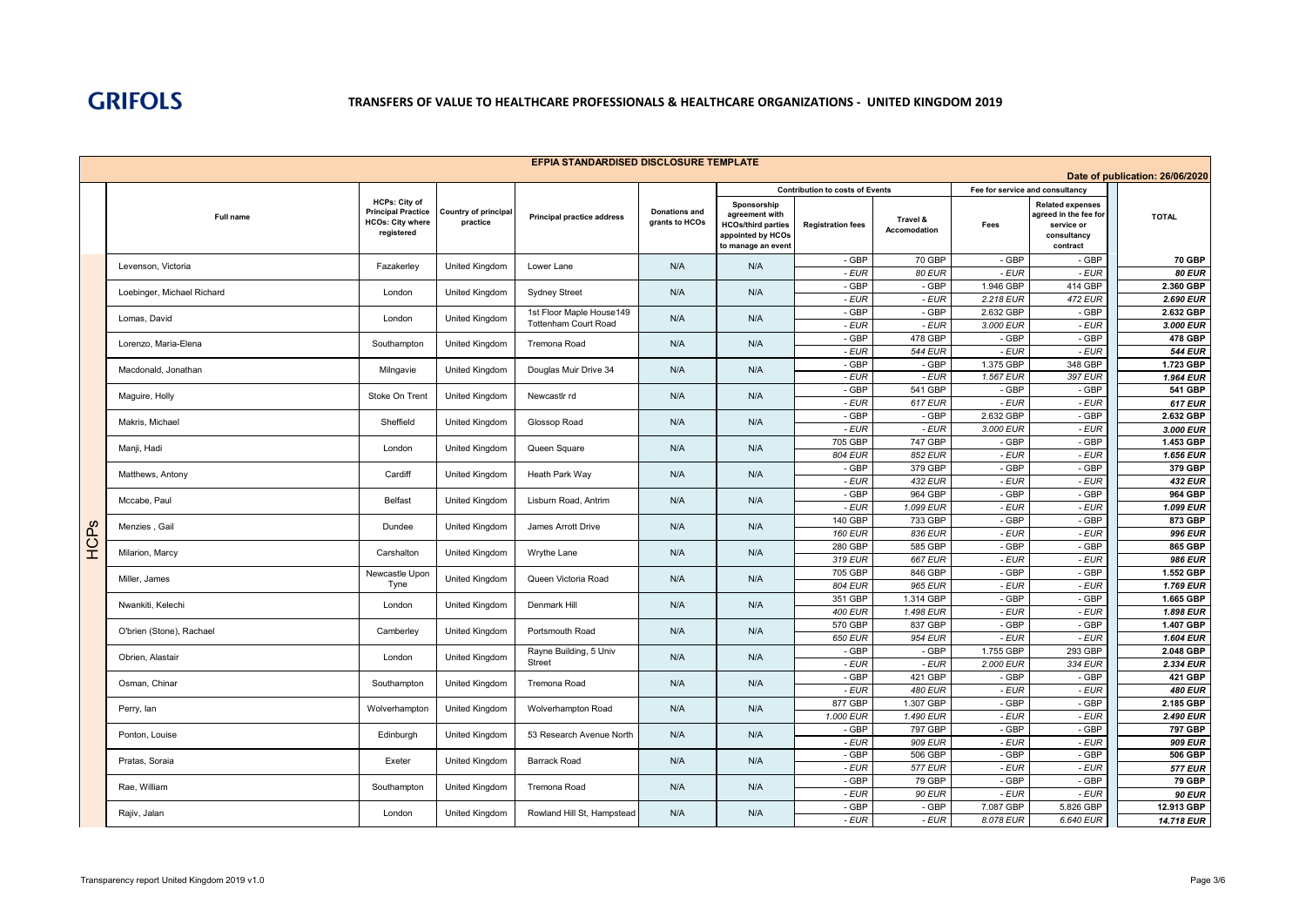

|      |                            |                                                                                            |                                         | EFPIA STANDARDISED DISCLOSURE TEMPLATE                  |                                        |                                                                                                       |                                                                    |                          |                                         |                                                                                           |                                 |
|------|----------------------------|--------------------------------------------------------------------------------------------|-----------------------------------------|---------------------------------------------------------|----------------------------------------|-------------------------------------------------------------------------------------------------------|--------------------------------------------------------------------|--------------------------|-----------------------------------------|-------------------------------------------------------------------------------------------|---------------------------------|
|      |                            |                                                                                            |                                         |                                                         |                                        |                                                                                                       |                                                                    |                          |                                         |                                                                                           | Date of publication: 26/06/2020 |
|      | Full name                  | <b>HCPs: City of</b><br><b>Principal Practice</b><br><b>HCOs: City where</b><br>registered | <b>Country of principal</b><br>practice | <b>Principal practice address</b>                       | <b>Donations and</b><br>grants to HCOs | Sponsorship<br>agreement with<br><b>HCOs/third parties</b><br>appointed by HCOs<br>to manage an event | <b>Contribution to costs of Events</b><br><b>Registration fees</b> | Travel &<br>Accomodation | Fee for service and consultancy<br>Fees | <b>Related expenses</b><br>agreed in the fee for<br>service or<br>consultancy<br>contract | <b>TOTAL</b>                    |
|      | Levenson, Victoria         | Fazakerley                                                                                 | United Kingdom                          | Lower Lane                                              | N/A                                    | N/A                                                                                                   | - GBP                                                              | 70 GBP                   | - GBP                                   | - GBP                                                                                     | <b>70 GBP</b>                   |
|      |                            |                                                                                            |                                         |                                                         |                                        |                                                                                                       | - EUR                                                              | <b>80 EUR</b>            | - EUR                                   | $-EUR$                                                                                    | <b>80 EUR</b>                   |
|      | Loebinger, Michael Richard | London                                                                                     | United Kingdom                          | <b>Sydney Street</b>                                    | N/A                                    | N/A                                                                                                   | $-$ GBP                                                            | - GBP                    | 1.946 GBP                               | 414 GBP                                                                                   | 2.360 GBP                       |
|      |                            |                                                                                            |                                         |                                                         |                                        |                                                                                                       | - EUR<br>- GBP                                                     | - EUR<br>- GBP           | 2.218 EUR<br>2.632 GBP                  | <b>472 EUR</b><br>- GBP                                                                   | 2.690 EUR<br>2.632 GBP          |
|      | Lomas, David               | London                                                                                     | United Kingdom                          | 1st Floor Maple House149<br><b>Tottenham Court Road</b> | N/A                                    | N/A                                                                                                   | - EUR                                                              | - EUR                    | 3.000 EUR                               | - EUR                                                                                     | 3.000 EUR                       |
|      |                            |                                                                                            |                                         |                                                         |                                        |                                                                                                       | - GBP                                                              | 478 GBP                  | - GBP                                   | - GBP                                                                                     | 478 GBP                         |
|      | Lorenzo, Maria-Elena       | Southampton                                                                                | United Kingdom                          | Tremona Road                                            | N/A                                    | N/A                                                                                                   | $-EUR$                                                             | <b>544 EUR</b>           | - EUR                                   | $-EUR$                                                                                    | <b>544 EUR</b>                  |
|      | Macdonald, Jonathan        | Milngavie                                                                                  | <b>United Kingdom</b>                   | Douglas Muir Drive 34                                   | N/A                                    | N/A                                                                                                   | - GBP                                                              | - GBP                    | 1.375 GBP                               | 348 GBP                                                                                   | 1.723 GBP                       |
|      |                            |                                                                                            |                                         |                                                         |                                        |                                                                                                       | - EUR                                                              | $-EUR$                   | 1.567 EUR                               | 397 EUR                                                                                   | 1.964 EUR                       |
|      | Maguire, Holly             | Stoke On Trent                                                                             | United Kingdom                          | Newcastlr rd                                            | N/A                                    | N/A                                                                                                   | - GBP                                                              | 541 GBP                  | - GBP                                   | - GBP                                                                                     | <b>541 GBP</b>                  |
|      |                            |                                                                                            |                                         |                                                         |                                        |                                                                                                       | - EUR<br>- GBP                                                     | 617 EUR<br>- GBP         | - EUR<br>2.632 GBP                      | - EUR<br>- GBP                                                                            | $617$ EUR<br>2.632 GBP          |
|      | Makris, Michael            | Sheffield                                                                                  | United Kingdom                          | Glossop Road                                            | N/A                                    | N/A                                                                                                   | - EUR                                                              | $-EUR$                   | 3.000 EUR                               | - EUR                                                                                     | 3.000 EUR                       |
|      |                            |                                                                                            |                                         |                                                         |                                        |                                                                                                       | 705 GBP                                                            | 747 GBP                  | - GBP                                   | $-GBP$                                                                                    | 1.453 GBP                       |
|      | Manji, Hadi                | London                                                                                     | United Kingdom                          | Queen Square                                            | N/A                                    | N/A                                                                                                   | 804 EUR                                                            | 852 EUR                  | $-EUR$                                  | $-EUR$                                                                                    | 1.656 EUR                       |
|      | Matthews, Antony           | Cardiff                                                                                    | <b>United Kingdom</b>                   | Heath Park Way                                          | N/A                                    | N/A                                                                                                   | $-$ GBP                                                            | 379 GBP                  | $-GBP$                                  | $-GBP$                                                                                    | 379 GBP                         |
|      |                            |                                                                                            |                                         |                                                         |                                        |                                                                                                       | - EUR                                                              | <b>432 EUR</b>           | - EUR                                   | - EUR                                                                                     | <b>432 EUR</b>                  |
|      | Mccabe, Paul               | Belfast                                                                                    | United Kingdom                          | Lisburn Road, Antrim                                    | N/A                                    | N/A                                                                                                   | - GBP                                                              | 964 GBP                  | - GBP                                   | - GBP                                                                                     | 964 GBP                         |
|      |                            |                                                                                            |                                         |                                                         |                                        |                                                                                                       | - EUR                                                              | 1.099 EUR                | - EUR                                   | $-EUR$                                                                                    | 1.099 EUR                       |
|      | Menzies, Gail              | Dundee                                                                                     | <b>United Kingdom</b>                   | James Arrott Drive                                      | N/A                                    | N/A                                                                                                   | 140 GBP<br><b>160 EUR</b>                                          | 733 GBP<br>836 EUR       | - GBP<br>- EUR                          | - GBP<br>$-EUR$                                                                           | 873 GBP<br>996 EUR              |
| HCPs |                            |                                                                                            |                                         |                                                         |                                        |                                                                                                       | 280 GBP                                                            | 585 GBP                  | - GBP                                   | - GBP                                                                                     | 865 GBP                         |
|      | Milarion, Marcy            | Carshalton                                                                                 | <b>United Kingdom</b>                   | Wrythe Lane                                             | N/A                                    | N/A                                                                                                   | 319 EUR                                                            | 667 EUR                  | - EUR                                   | $-EUR$                                                                                    | 986 EUR                         |
|      |                            | Newcastle Upon                                                                             |                                         |                                                         |                                        |                                                                                                       | 705 GBP                                                            | 846 GBP                  | - GBP                                   | - GBP                                                                                     | 1.552 GBP                       |
|      | Miller, James              | Tyne                                                                                       | United Kingdom                          | Queen Victoria Road                                     | N/A                                    | N/A                                                                                                   | <b>804 EUR</b>                                                     | 965 EUR                  | $-EUR$                                  | $-EUR$                                                                                    | 1.769 EUR                       |
|      | Nwankiti, Kelechi          | London                                                                                     | United Kingdom                          | Denmark Hill                                            | N/A                                    | N/A                                                                                                   | 351 GBP                                                            | 1.314 GBP                | - GBP                                   | - GBP                                                                                     | 1.665 GBP                       |
|      |                            |                                                                                            |                                         |                                                         |                                        |                                                                                                       | 400 EUR                                                            | 1.498 EUR                | - EUR                                   | - EUR                                                                                     | 1.898 EUR                       |
|      | O'brien (Stone), Rachael   | Camberley                                                                                  | <b>United Kingdom</b>                   | Portsmouth Road                                         | N/A                                    | N/A                                                                                                   | 570 GBP                                                            | 837 GBP                  | - GBP                                   | $-GBP$                                                                                    | 1.407 GBP                       |
|      |                            |                                                                                            |                                         |                                                         |                                        |                                                                                                       | <b>650 EUR</b><br>- GBP                                            | 954 EUR<br>- GBP         | $-EUR$<br>1.755 GBP                     | $-EUR$<br>293 GBP                                                                         | 1.604 EUR<br>2.048 GBP          |
|      | Obrien, Alastair           | London                                                                                     | United Kingdom                          | Rayne Building, 5 Univ<br>Street                        | N/A                                    | N/A                                                                                                   | - EUR                                                              | - EUR                    | 2.000 EUR                               | 334 EUR                                                                                   | 2.334 EUR                       |
|      |                            |                                                                                            |                                         |                                                         |                                        |                                                                                                       | - GBP                                                              | 421 GBP                  | - GBP                                   | - GBP                                                                                     | 421 GBP                         |
|      | Osman, Chinar              | Southampton                                                                                | United Kingdom                          | Tremona Road                                            | N/A                                    | N/A                                                                                                   | - EUR                                                              | <b>480 EUR</b>           | - EUR                                   | - EUR                                                                                     | <b>480 EUR</b>                  |
|      | Perry, lan                 | Wolverhampton                                                                              | United Kingdom                          | Wolverhampton Road                                      | N/A                                    | N/A                                                                                                   | 877 GBP                                                            | 1.307 GBP                | - GBP                                   | - GBP                                                                                     | 2.185 GBP                       |
|      |                            |                                                                                            |                                         |                                                         |                                        |                                                                                                       | 1.000 EUR                                                          | 1.490 EUR                | - EUR                                   | $-EUR$                                                                                    | 2.490 EUR                       |
|      | Ponton, Louise             | Edinburgh                                                                                  | <b>United Kingdom</b>                   | 53 Research Avenue North                                | N/A                                    | N/A                                                                                                   | - GBP                                                              | 797 GBP                  | $-GBP$                                  | $-GBP$                                                                                    | 797 GBP                         |
|      |                            |                                                                                            |                                         |                                                         |                                        |                                                                                                       | - EUR<br>- GBP                                                     | 909 EUR<br>506 GBP       | - EUR<br>- GBP                          | $-EUR$<br>- GBP                                                                           | 909 EUR<br>506 GBP              |
|      | Pratas, Soraia             | Exeter                                                                                     | United Kingdom                          | <b>Barrack Road</b>                                     | N/A                                    | N/A                                                                                                   | - EUR                                                              | 577 EUR                  | - EUR                                   | - EUR                                                                                     | <b>577 EUR</b>                  |
|      |                            |                                                                                            |                                         |                                                         |                                        |                                                                                                       | - GBP                                                              | 79 GBP                   | - GBP                                   | - GBP                                                                                     | <b>79 GBP</b>                   |
|      | Rae. William               | Southampton                                                                                | <b>United Kingdom</b>                   | Tremona Road                                            | N/A                                    | N/A                                                                                                   | - EUR                                                              | <b>90 EUR</b>            | $-EUR$                                  | $-EUR$                                                                                    | <b>90 EUR</b>                   |
|      | Rajiv, Jalan               | London                                                                                     | <b>United Kingdom</b>                   | Rowland Hill St, Hampstead                              | N/A                                    | N/A                                                                                                   | - GBP                                                              | - GBP                    | 7.087 GBP                               | 5.826 GBP                                                                                 | 12.913 GBP                      |
|      |                            |                                                                                            |                                         |                                                         |                                        |                                                                                                       | - EUR                                                              | $-EUR$                   | 8.078 EUR                               | 6.640 EUR                                                                                 | 14.718 EUR                      |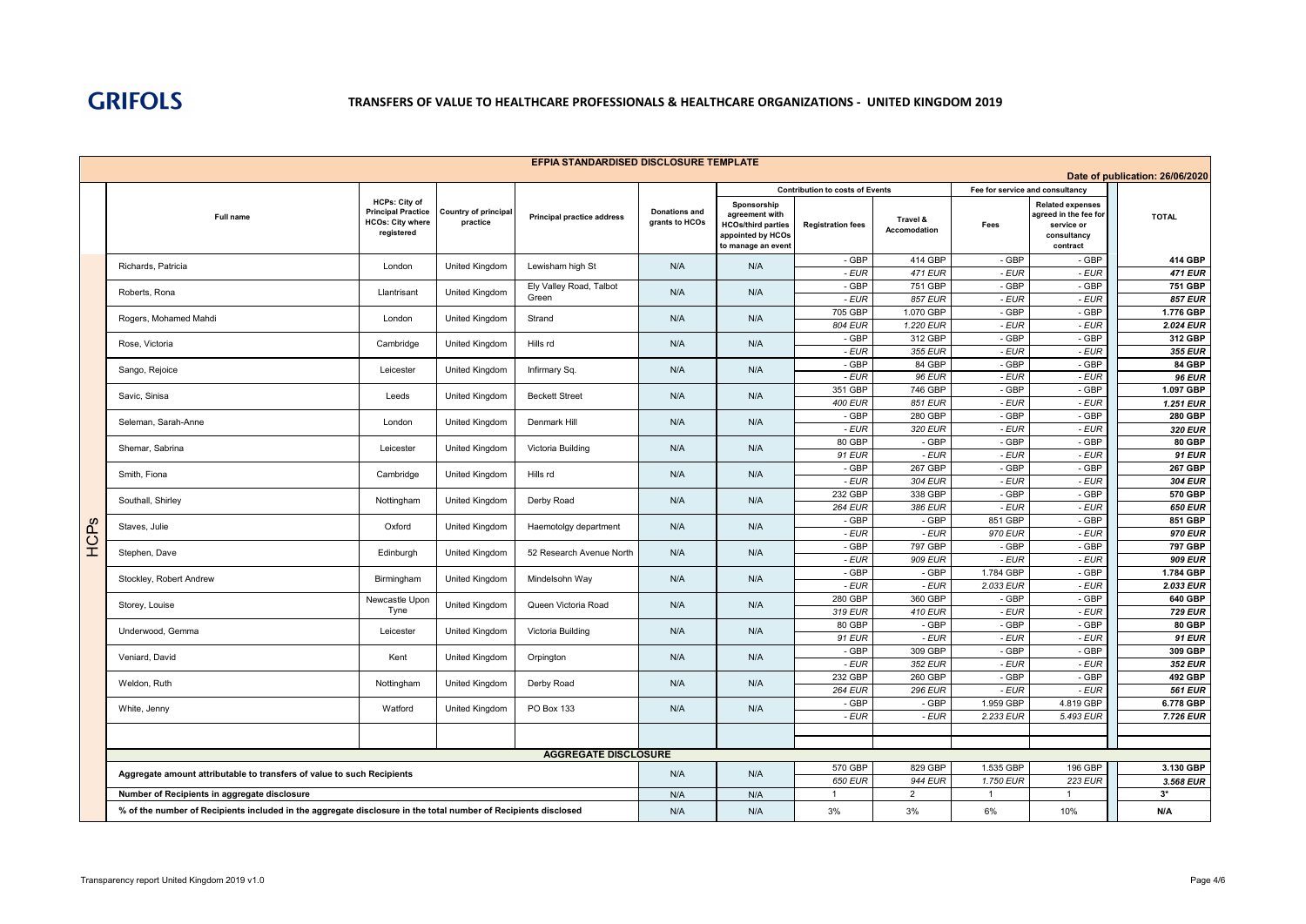

|      |                                                                                                                |                                                                                     |                                  | EFPIA STANDARDISED DISCLOSURE TEMPLATE |                                        |                                                                                                       |                                                                    |                                 |                                         |                                                                                           |                                 |
|------|----------------------------------------------------------------------------------------------------------------|-------------------------------------------------------------------------------------|----------------------------------|----------------------------------------|----------------------------------------|-------------------------------------------------------------------------------------------------------|--------------------------------------------------------------------|---------------------------------|-----------------------------------------|-------------------------------------------------------------------------------------------|---------------------------------|
|      |                                                                                                                |                                                                                     |                                  |                                        |                                        |                                                                                                       |                                                                    |                                 |                                         |                                                                                           | Date of publication: 26/06/2020 |
|      | <b>Full name</b>                                                                                               | HCPs: City of<br><b>Principal Practice</b><br><b>HCOs: City where</b><br>registered | Country of principal<br>practice | <b>Principal practice address</b>      | <b>Donations and</b><br>grants to HCOs | Sponsorship<br>agreement with<br><b>HCOs/third parties</b><br>appointed by HCOs<br>to manage an event | <b>Contribution to costs of Events</b><br><b>Registration fees</b> | Travel &<br><b>Accomodation</b> | Fee for service and consultancy<br>Fees | <b>Related expenses</b><br>agreed in the fee for<br>service or<br>consultancy<br>contract | <b>TOTAL</b>                    |
|      |                                                                                                                |                                                                                     |                                  |                                        |                                        |                                                                                                       | - GBP                                                              | 414 GBP                         | - GBP                                   | - GBP                                                                                     | 414 GBP                         |
|      | Richards, Patricia                                                                                             | London                                                                              | United Kingdom                   | Lewisham high St                       | N/A                                    | N/A                                                                                                   | - EUR                                                              | <b>471 EUR</b>                  | $-EUR$                                  | - EUR                                                                                     | <b>471 EUR</b>                  |
|      | Roberts, Rona                                                                                                  | Llantrisant                                                                         | United Kingdom                   | Ely Valley Road, Talbot                | N/A                                    | N/A                                                                                                   | - GBP                                                              | 751 GBP                         | - GBP                                   | - GBP                                                                                     | 751 GBP                         |
|      |                                                                                                                |                                                                                     |                                  | Green                                  |                                        |                                                                                                       | - EUR                                                              | 857 EUR                         | - EUR                                   | $-EUR$                                                                                    | <b>857 EUR</b>                  |
|      | Rogers, Mohamed Mahdi                                                                                          | London                                                                              | United Kingdom                   | Strand                                 | N/A                                    | N/A                                                                                                   | 705 GBP<br>804 EUR                                                 | 1.070 GBP<br>1.220 EUR          | - GBP<br>$-EUR$                         | $-GBP$<br>$-EUR$                                                                          | 1.776 GBP<br>2.024 EUR          |
|      |                                                                                                                |                                                                                     |                                  |                                        |                                        |                                                                                                       | - GBP                                                              | 312 GBP                         | - GBP                                   | - GBP                                                                                     | 312 GBP                         |
|      | Rose, Victoria                                                                                                 | Cambridge                                                                           | United Kingdom                   | Hills rd                               | N/A                                    | N/A                                                                                                   | - EUR                                                              | 355 EUR                         | - EUR                                   | $-EUR$                                                                                    | 355 EUR                         |
|      |                                                                                                                |                                                                                     |                                  |                                        |                                        |                                                                                                       | - GBP                                                              | 84 GBP                          | - GBP                                   | - GBP                                                                                     | 84 GBP                          |
|      | Sango, Rejoice                                                                                                 | Leicester                                                                           | United Kingdom                   | Infirmary Sq.                          | N/A                                    | N/A                                                                                                   | - EUR                                                              | <b>96 EUR</b>                   | - EUR                                   | - EUR                                                                                     | <b>96 EUR</b>                   |
|      | Savic, Sinisa                                                                                                  | Leeds                                                                               | United Kingdom                   | <b>Beckett Street</b>                  | N/A                                    | N/A                                                                                                   | 351 GBP                                                            | 746 GBP                         | - GBP                                   | - GBP                                                                                     | 1.097 GBP                       |
|      |                                                                                                                |                                                                                     |                                  |                                        |                                        |                                                                                                       | 400 EUR                                                            | 851 EUR                         | $-EUR$                                  | $-EUR$                                                                                    | 1.251 EUR                       |
|      | Seleman, Sarah-Anne                                                                                            | London                                                                              | United Kingdom                   | Denmark Hill                           | N/A                                    | N/A                                                                                                   | - GBP                                                              | 280 GBP                         | - GBP                                   | $-GBP$                                                                                    | <b>280 GBP</b>                  |
|      |                                                                                                                |                                                                                     |                                  |                                        |                                        |                                                                                                       | - EUR<br>80 GBP                                                    | 320 EUR<br>- GBP                | - EUR<br>- GBP                          | $-EUR$<br>$-GBP$                                                                          | 320 EUR<br>80 GBP               |
|      | Shemar, Sabrina                                                                                                | Leicester                                                                           | United Kingdom                   | Victoria Building                      | N/A                                    | N/A                                                                                                   | 91 EUR                                                             | $-EUR$                          | $-EUR$                                  | $-EUR$                                                                                    | 91 EUR                          |
|      |                                                                                                                |                                                                                     |                                  |                                        |                                        |                                                                                                       | $-GBP$                                                             | 267 GBP                         | $-$ GBP                                 | $-$ GBP                                                                                   | 267 GBP                         |
|      | Smith, Fiona                                                                                                   | Cambridge                                                                           | United Kingdom                   | Hills rd                               | N/A                                    | N/A                                                                                                   | - EUR                                                              | 304 EUR                         | - EUR                                   | $-EUR$                                                                                    | 304 EUR                         |
|      |                                                                                                                |                                                                                     |                                  | Derby Road                             | N/A                                    | N/A                                                                                                   | 232 GBP                                                            | 338 GBP                         | - GBP                                   | - GBP                                                                                     | 570 GBP                         |
|      | Southall, Shirley                                                                                              | Nottingham                                                                          | United Kingdom                   |                                        |                                        |                                                                                                       | <b>264 EUR</b>                                                     | 386 EUR                         | $-EUR$                                  | $-EUR$                                                                                    | 650 EUR                         |
|      | Staves, Julie                                                                                                  | Oxford                                                                              | United Kingdom                   | Haemotolgy department                  | N/A                                    | N/A                                                                                                   | - GBP                                                              | - GBP                           | 851 GBP                                 | - GBP                                                                                     | 851 GBP                         |
| ACP. |                                                                                                                |                                                                                     |                                  |                                        |                                        |                                                                                                       | - EUR                                                              | $-EUR$                          | 970 EUR                                 | $-EUR$                                                                                    | 970 EUR                         |
|      | Stephen, Dave                                                                                                  | Edinburgh                                                                           | United Kingdom                   | 52 Research Avenue North               | N/A                                    | N/A                                                                                                   | - GBP                                                              | 797 GBP                         | - GBP                                   | - GBP                                                                                     | 797 GBP                         |
|      |                                                                                                                |                                                                                     |                                  |                                        |                                        |                                                                                                       | - EUR<br>$-$ GBP                                                   | 909 EUR<br>- GBP                | - EUR<br>1.784 GBP                      | $-EUR$<br>$-$ GBP                                                                         | 909 EUR<br>1.784 GBP            |
|      | Stockley, Robert Andrew                                                                                        | Birmingham                                                                          | <b>United Kingdom</b>            | Mindelsohn Wav                         | N/A                                    | N/A                                                                                                   | - EUR                                                              | $-EUR$                          | 2.033 EUR                               | $-EUR$                                                                                    | 2.033 EUR                       |
|      |                                                                                                                | Newcastle Upon                                                                      |                                  |                                        |                                        |                                                                                                       | 280 GBP                                                            | 360 GBP                         | - GBP                                   | $-GBP$                                                                                    | 640 GBP                         |
|      | Storey, Louise                                                                                                 | Tyne                                                                                | United Kingdom                   | Queen Victoria Road                    | N/A                                    | N/A                                                                                                   | 319 EUR                                                            | 410 EUR                         | - EUR                                   | $-EUR$                                                                                    | <b>729 EUR</b>                  |
|      | Underwood, Gemma                                                                                               | Leicester                                                                           | United Kingdom                   | Victoria Building                      | N/A                                    | N/A                                                                                                   | 80 GBP                                                             | - GBP                           | - GBP                                   | - GBP                                                                                     | 80 GBP                          |
|      |                                                                                                                |                                                                                     |                                  |                                        |                                        |                                                                                                       | 91 EUR                                                             | - EUR                           | - EUR                                   | $-EUR$                                                                                    | <b>91 EUR</b>                   |
|      | Veniard, David                                                                                                 | Kent                                                                                | United Kingdom                   | Orpington                              | N/A                                    | N/A                                                                                                   | - GBP                                                              | 309 GBP                         | - GBP                                   | - GBP                                                                                     | 309 GBP                         |
|      |                                                                                                                |                                                                                     |                                  |                                        |                                        |                                                                                                       | - EUR                                                              | 352 EUR                         | - EUR                                   | - EUR                                                                                     | 352 EUR                         |
|      | Weldon, Ruth                                                                                                   | Nottingham                                                                          | United Kingdom                   | Derby Road                             | N/A                                    | N/A                                                                                                   | 232 GBP<br><b>264 EUR</b>                                          | 260 GBP<br><b>296 EUR</b>       | - GBP<br>$-EUR$                         | - GBP<br>- EUR                                                                            | 492 GBP<br><b>561 EUR</b>       |
|      |                                                                                                                |                                                                                     |                                  |                                        |                                        |                                                                                                       | - GBP                                                              | - GBP                           | 1.959 GBP                               | 4.819 GBP                                                                                 | $6.778$ GBP                     |
|      | White, Jenny                                                                                                   | Watford                                                                             | <b>United Kingdom</b>            | PO Box 133                             | N/A                                    | N/A                                                                                                   | - EUR                                                              | - EUR                           | 2.233 EUR                               | 5.493 EUR                                                                                 | 7.726 EUR                       |
|      |                                                                                                                |                                                                                     |                                  |                                        |                                        |                                                                                                       |                                                                    |                                 |                                         |                                                                                           |                                 |
|      |                                                                                                                |                                                                                     |                                  |                                        |                                        |                                                                                                       |                                                                    |                                 |                                         |                                                                                           |                                 |
|      |                                                                                                                |                                                                                     |                                  | <b>AGGREGATE DISCLOSURE</b>            |                                        |                                                                                                       |                                                                    |                                 |                                         |                                                                                           |                                 |
|      | Aggregate amount attributable to transfers of value to such Recipients                                         |                                                                                     |                                  |                                        | N/A                                    | N/A                                                                                                   | 570 GBP                                                            | 829 GBP                         | 1.535 GBP                               | 196 GBP                                                                                   | 3.130 GBP                       |
|      | Number of Recipients in aggregate disclosure                                                                   |                                                                                     |                                  |                                        | N/A                                    | N/A                                                                                                   | 650 EUR<br>$\overline{1}$                                          | 944 EUR<br>$\overline{2}$       | 1.750 EUR<br>$\overline{1}$             | 223 EUR<br>$\overline{1}$                                                                 | 3.568 EUR<br>$3*$               |
|      |                                                                                                                |                                                                                     |                                  |                                        |                                        |                                                                                                       |                                                                    |                                 |                                         |                                                                                           |                                 |
|      | % of the number of Recipients included in the aggregate disclosure in the total number of Recipients disclosed |                                                                                     |                                  |                                        | N/A                                    | N/A                                                                                                   | 3%                                                                 | 3%                              | 6%                                      | 10%                                                                                       | N/A                             |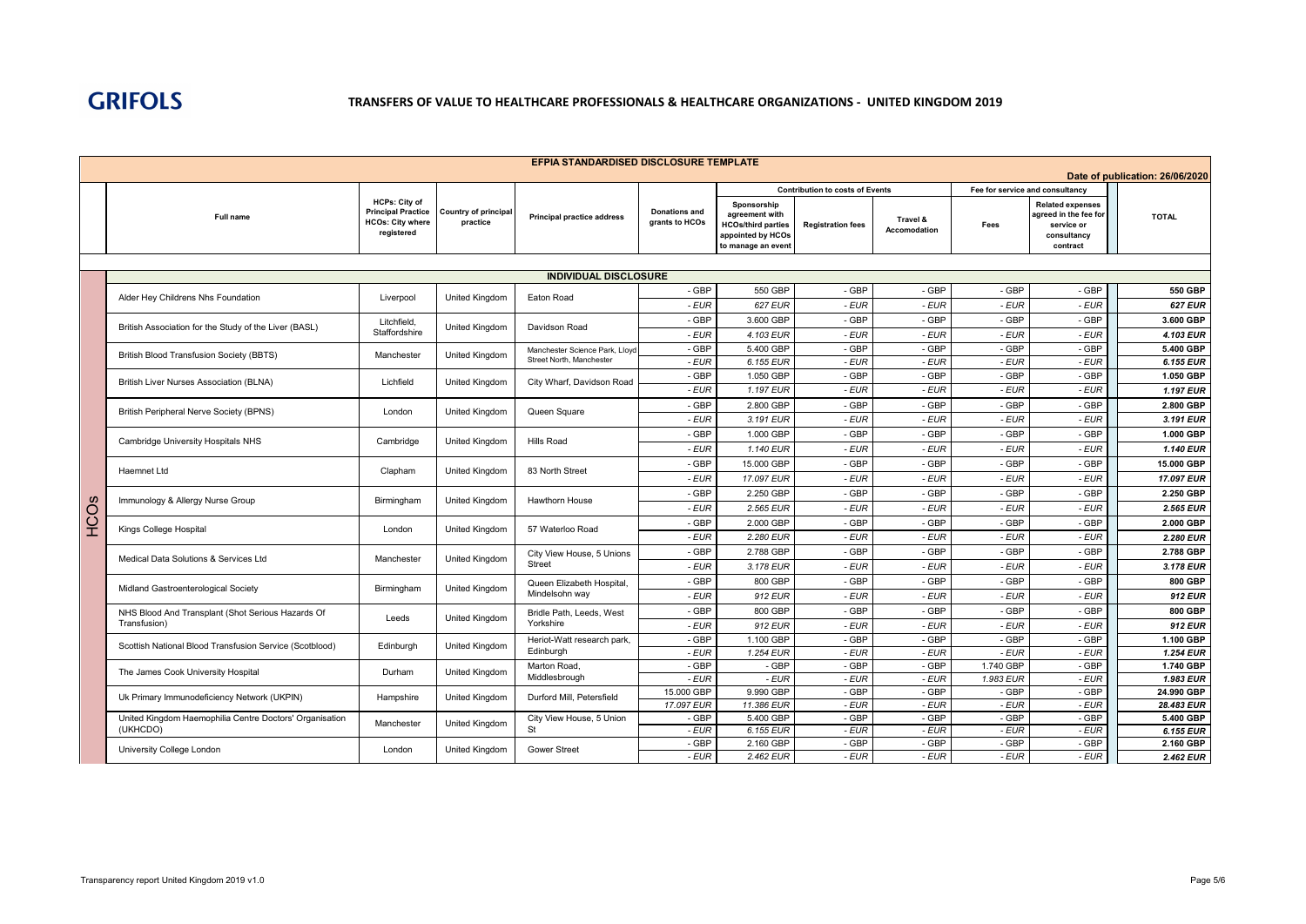

|      |                                                                     |                                                                                            |                                         | EFPIA STANDARDISED DISCLOSURE TEMPLATE                     |                                        |                                                                                                       |                                        |                                 |                                 |                                                                                           | Date of publication: 26/06/2020 |
|------|---------------------------------------------------------------------|--------------------------------------------------------------------------------------------|-----------------------------------------|------------------------------------------------------------|----------------------------------------|-------------------------------------------------------------------------------------------------------|----------------------------------------|---------------------------------|---------------------------------|-------------------------------------------------------------------------------------------|---------------------------------|
|      |                                                                     |                                                                                            |                                         |                                                            |                                        |                                                                                                       | <b>Contribution to costs of Events</b> |                                 | Fee for service and consultancy |                                                                                           |                                 |
|      | Full name                                                           | <b>HCPs: City of</b><br><b>Principal Practice</b><br><b>HCOs: City where</b><br>registered | <b>Country of principal</b><br>practice | <b>Principal practice address</b>                          | <b>Donations and</b><br>grants to HCOs | Sponsorship<br>agreement with<br><b>HCOs/third parties</b><br>appointed by HCOs<br>to manage an event | <b>Registration fees</b>               | Travel &<br><b>Accomodation</b> | Fees                            | <b>Related expenses</b><br>agreed in the fee for<br>service or<br>consultancy<br>contract | <b>TOTAL</b>                    |
|      |                                                                     |                                                                                            |                                         | <b>INDIVIDUAL DISCLOSURE</b>                               |                                        |                                                                                                       |                                        |                                 |                                 |                                                                                           |                                 |
|      |                                                                     |                                                                                            |                                         |                                                            | - GBP                                  | 550 GBP                                                                                               | - GBP                                  | - GBP                           | - GBP                           | - GBP                                                                                     | 550 GBP                         |
|      | Alder Hey Childrens Nhs Foundation                                  | Liverpool                                                                                  | <b>United Kingdom</b>                   | Eaton Road                                                 | $-EUR$                                 | 627 EUR                                                                                               | - EUR                                  | - EUR                           | - EUR                           | $-EUR$                                                                                    | <b>627 EUR</b>                  |
|      | British Association for the Study of the Liver (BASL)               | Litchfield,<br>Staffordshire                                                               | <b>United Kingdom</b>                   | Davidson Road                                              | - GBP                                  | 3.600 GBP                                                                                             | - GBP                                  | - GBP                           | - GBP                           | - GBP                                                                                     | 3.600 GBP                       |
|      |                                                                     |                                                                                            |                                         |                                                            | - EUR                                  | 4.103 EUR                                                                                             | - EUR                                  | - EUR                           | - EUR                           | $-EUR$                                                                                    | 4.103 EUR                       |
|      | British Blood Transfusion Society (BBTS)                            | Manchester                                                                                 | <b>United Kingdom</b>                   | Manchester Science Park, Lloyd<br>Street North, Manchester | - GBP                                  | 5.400 GBP                                                                                             | - GBP                                  | - GBP                           | - GBP                           | $-$ GBP                                                                                   | 5.400 GBP                       |
|      |                                                                     |                                                                                            |                                         |                                                            | - EUR                                  | 6.155 EUR                                                                                             | - EUR                                  | - EUR                           | - EUR                           | - EUR                                                                                     | 6.155 EUR                       |
|      | British Liver Nurses Association (BLNA)                             | Lichfield                                                                                  | United Kingdom                          | City Wharf, Davidson Road                                  | - GBP                                  | 1.050 GBP                                                                                             | - GBP                                  | - GBP                           | - GBP                           | - GBP                                                                                     | 1.050 GBP                       |
|      |                                                                     |                                                                                            |                                         |                                                            | - EUR                                  | 1.197 EUR                                                                                             | - EUR                                  | - EUR                           | - EUR                           | - EUR                                                                                     | 1.197 EUR                       |
|      | British Peripheral Nerve Society (BPNS)                             | London                                                                                     | United Kingdom                          | Queen Square                                               | - GBP                                  | 2.800 GBP                                                                                             | - GBP                                  | - GBP                           | - GBP                           | - GBP                                                                                     | 2.800 GBP                       |
|      |                                                                     |                                                                                            |                                         | <b>Hills Road</b>                                          | - EUR                                  | 3.191 EUR                                                                                             | - EUR                                  | - EUR                           | - EUR                           | $-EUR$                                                                                    | 3.191 EUR                       |
|      | Cambridge University Hospitals NHS                                  | Cambridge                                                                                  | United Kingdom                          |                                                            | - GBP                                  | 1.000 GBP                                                                                             | - GBP                                  | - GBP                           | - GBP                           | - GBP                                                                                     | 1.000 GBP                       |
|      |                                                                     |                                                                                            |                                         |                                                            | - EUR                                  | 1.140 EUR                                                                                             | - EUR                                  | - EUR                           | - EUR                           | - EUR                                                                                     | 1.140 EUR                       |
|      | Haemnet Ltd                                                         | Clapham                                                                                    | United Kingdom                          | 83 North Street                                            | - GBP                                  | 15,000 GBP                                                                                            | - GBP                                  | - GBP                           | - GBP                           | - GBP                                                                                     | 15.000 GBP                      |
|      |                                                                     |                                                                                            |                                         |                                                            | - EUR                                  | 17.097 EUR                                                                                            | - EUR                                  | - EUR                           | - EUR                           | - EUR                                                                                     | 17.097 EUR                      |
|      | Immunology & Allergy Nurse Group                                    | Birmingham                                                                                 | United Kingdom                          | Hawthorn House                                             | - GBP                                  | 2.250 GBP                                                                                             | - GBP                                  | - GBP                           | - GBP                           | - GBP                                                                                     | 2.250 GBP                       |
|      |                                                                     |                                                                                            |                                         |                                                            | - EUR                                  | 2.565 EUR                                                                                             | - EUR                                  | - EUR                           | - EUR                           | $-EUR$                                                                                    | 2.565 EUR                       |
| HCOs | Kings College Hospital                                              | London                                                                                     | <b>United Kingdom</b>                   | 57 Waterloo Road                                           | - GBP                                  | 2.000 GBP                                                                                             | - GBP                                  | - GBP                           | - GBP<br>- EUR                  | - GBP                                                                                     | 2.000 GBP                       |
|      |                                                                     |                                                                                            |                                         |                                                            | - EUR                                  | 2.280 EUR                                                                                             | - EUR                                  | - EUR                           |                                 | $-EUR$                                                                                    | 2.280 EUR                       |
|      | Medical Data Solutions & Services Ltd                               | Manchester                                                                                 | <b>United Kingdom</b>                   | City View House, 5 Unions<br><b>Street</b>                 | - GBP<br>- EUR                         | 2.788 GBP<br>3.178 EUR                                                                                | - GBP<br>- EUR                         | - GBP                           | - GBP<br>- EUR                  | - GBP<br>- EUR                                                                            | 2.788 GBP<br>3.178 EUR          |
|      |                                                                     |                                                                                            |                                         |                                                            |                                        |                                                                                                       |                                        | - EUR                           |                                 |                                                                                           |                                 |
|      | Midland Gastroenterological Society                                 | Birmingham                                                                                 | United Kingdom                          | Queen Elizabeth Hospital,<br>Mindelsohn way                | - GBP<br>- EUR                         | 800 GBP<br>912 EUR                                                                                    | - GBP<br>- EUR                         | - GBP<br>- EUR                  | - GBP<br>- EUR                  | - GBP<br>- EUR                                                                            | 800 GBP<br>912 EUR              |
|      |                                                                     |                                                                                            |                                         |                                                            | - GBP                                  | 800 GBP                                                                                               | - GBP                                  | - GBP                           | - GBP                           | - GBP                                                                                     | 800 GBP                         |
|      | NHS Blood And Transplant (Shot Serious Hazards Of<br>Transfusion)   | Leeds                                                                                      | United Kingdom                          | Bridle Path, Leeds, West<br>Yorkshire                      | - EUR                                  | 912 EUR                                                                                               | - EUR                                  | - EUR                           | - EUR                           | $-EUR$                                                                                    | 912 EUR                         |
|      |                                                                     |                                                                                            |                                         | Heriot-Watt research park,                                 | - GBP                                  | 1.100 GBP                                                                                             | - GBP                                  | - GBP                           | - GBP                           | - GBP                                                                                     | 1.100 GBP                       |
|      | Scottish National Blood Transfusion Service (Scotblood)             | Edinburgh                                                                                  | <b>United Kingdom</b>                   | Edinburgh                                                  | - EUR                                  | 1.254 EUR                                                                                             | - EUR                                  | - EUR                           | - EUR                           | $-EUR$                                                                                    | 1.254 EUR                       |
|      |                                                                     | Durham                                                                                     | <b>United Kingdom</b>                   | Marton Road,                                               | - GBP                                  | - GBP                                                                                                 | - GBP                                  | - GBP                           | 1.740 GBP                       | - GBP                                                                                     | 1.740 GBP                       |
|      | The James Cook University Hospital                                  |                                                                                            |                                         | Middlesbrough                                              | - EUR                                  | - EUR                                                                                                 | - EUR                                  | - EUR                           | 1.983 EUR                       | $-EUR$                                                                                    | 1.983 EUR                       |
|      | Uk Primary Immunodeficiency Network (UKPIN)                         | Hampshire                                                                                  | United Kingdom                          | Durford Mill, Petersfield                                  | 15.000 GBP                             | 9.990 GBP                                                                                             | - GBP                                  | - GBP                           | - GBP                           | - GBP                                                                                     | 24.990 GBP                      |
|      |                                                                     |                                                                                            |                                         |                                                            | 17.097 EUR                             | 11.386 EUR                                                                                            | $-EUR$                                 | - EUR                           | - EUR                           | - EUR                                                                                     | 28.483 EUR                      |
|      | United Kingdom Haemophilia Centre Doctors' Organisation<br>(UKHCDO) | Manchester                                                                                 | <b>United Kingdom</b>                   | City View House, 5 Union<br>St                             | - GBP<br>- EUR                         | 5.400 GBP<br>6.155 EUR                                                                                | - GBP<br>- EUR                         | - GBP<br>- EUR                  | - GBP<br>- EUR                  | - GBP<br>- EUR                                                                            | 5.400 GBP<br>6.155 EUR          |
|      |                                                                     |                                                                                            |                                         |                                                            | - GBP                                  | 2.160 GBP                                                                                             | - GBP                                  | - GBP                           | - GBP                           | - GBP                                                                                     | 2.160 GBP                       |
|      | University College London                                           | London                                                                                     | United Kingdom                          | <b>Gower Street</b>                                        | - EUR                                  | 2.462 EUR                                                                                             | - EUR                                  | - EUR                           | - EUR                           | - EUR                                                                                     | 2.462 EUR                       |